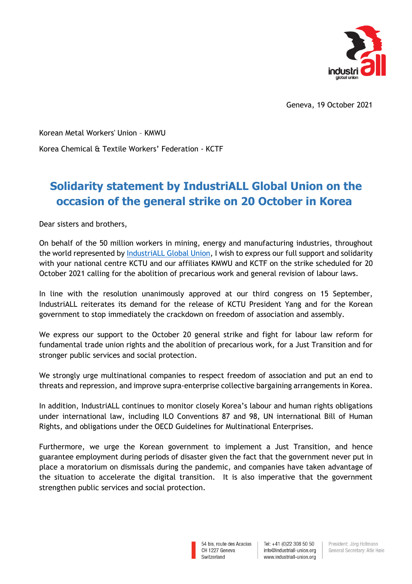

Geneva, 19 October 2021

Korean Metal Workers' Union – KMWU Korea Chemical & Textile Workers' Federation - KCTF

## **Solidarity statement by IndustriALL Global Union on the occasion of the general strike on 20 October in Korea**

Dear sisters and brothers,

On behalf of the 50 million workers in mining, energy and manufacturing industries, throughout the world represented by [IndustriALL Global Union,](http://www.industriall-union.org/) I wish to express our full support and solidarity with your national centre KCTU and our affiliates KMWU and KCTF on the strike scheduled for 20 October 2021 calling for the abolition of precarious work and general revision of labour laws.

In line with the resolution unanimously approved at our third congress on 15 September, IndustriALL reiterates its demand for the release of KCTU President Yang and for the Korean government to stop immediately the crackdown on freedom of association and assembly.

We express our support to the October 20 general strike and fight for labour law reform for fundamental trade union rights and the abolition of precarious work, for a Just Transition and for stronger public services and social protection.

We strongly urge multinational companies to respect freedom of association and put an end to threats and repression, and improve supra-enterprise collective bargaining arrangements in Korea.

In addition, IndustriALL continues to monitor closely Korea's labour and human rights obligations under international law, including ILO Conventions 87 and 98, UN international Bill of Human Rights, and obligations under the OECD Guidelines for Multinational Enterprises.

Furthermore, we urge the Korean government to implement a Just Transition, and hence guarantee employment during periods of disaster given the fact that the government never put in place a moratorium on dismissals during the pandemic, and companies have taken advantage of the situation to accelerate the digital transition. It is also imperative that the government strengthen public services and social protection.